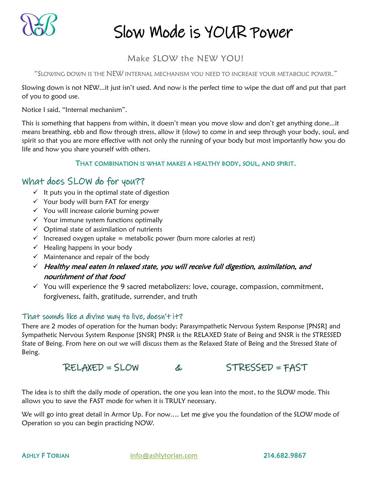

## Make SLOW the NEW YOU!

"SLOWING DOWN IS THE NEW INTERNAL MECHANISM YOU NEED TO INCREASE YOUR METABOLIC POWER."

Slowing down is not NEW...it just isn't used. And now is the perfect time to wipe the dust off and put that part of you to good use.

Notice I said, "Internal mechanism".

This is something that happens from within, it doesn't mean you move slow and don't get anything done...it means breathing, ebb and flow through stress, allow it (slow) to come in and seep through your body, soul, and spirit so that you are more effective with not only the running of your body but most importantly how you do life and how you share yourself with others.

### THAT COMBINATION IS WHAT MAKES A HEALTHY BODY, SOUL, AND SPIRIT.

## What does SLOW do for you??

- $\checkmark$  It puts you in the optimal state of digestion
- ✓ Your body will burn FAT for energy
- ✓ You will increase calorie burning power
- ✓ Your immune system functions optimally
- ✓ Optimal state of assimilation of nutrients
- $\checkmark$  Increased oxygen uptake = metabolic power (burn more calories at rest)
- $\checkmark$  Healing happens in your body
- $\checkmark$  Maintenance and repair of the body
- ✓ Healthy meal eaten in relaxed state, you will receive full digestion, assimilation, and nourishment of that food
- $\checkmark$  You will experience the 9 sacred metabolizers: love, courage, compassion, commitment, forgiveness, faith, gratitude, surrender, and truth

### That sounds like a divine way to live, doesn't it?

There are 2 modes of operation for the human body; Parasympathetic Nervous System Response [PNSR] and Sympathetic Nervous System Response [SNSR] PNSR is the RELAXED State of Being and SNSR is the STRESSED State of Being. From here on out we will discuss them as the Relaxed State of Being and the Stressed State of Being.

## RELAXED = SLOW & STRESSED = FAST

The idea is to shift the daily mode of operation, the one you lean into the most, to the SLOW mode. This allows you to save the FAST mode for when it is TRULY necessary.

We will go into great detail in Armor Up. For now…. Let me give you the foundation of the SLOW mode of Operation so you can begin practicing NOW.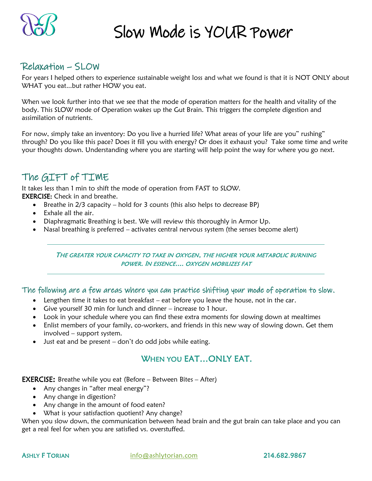

## Relaxation – SLOW

For years I helped others to experience sustainable weight loss and what we found is that it is NOT ONLY about WHAT you eat...but rather HOW you eat.

When we look further into that we see that the mode of operation matters for the health and vitality of the body. This SLOW mode of Operation wakes up the Gut Brain. This triggers the complete digestion and assimilation of nutrients.

For now, simply take an inventory: Do you live a hurried life? What areas of your life are you" rushing" through? Do you like this pace? Does it fill you with energy? Or does it exhaust you? Take some time and write your thoughts down. Understanding where you are starting will help point the way for where you go next.

## The GIFT of TIME

It takes less than 1 min to shift the mode of operation from FAST to SLOW. **EXERCISE:** Check in and breathe.

- Breathe in 2/3 capacity hold for 3 counts (this also helps to decrease BP)
- Exhale all the air.
- Diaphragmatic Breathing is best. We will review this thoroughly in Armor Up.
- Nasal breathing is preferred activates central nervous system (the senses become alert)

#### THE GREATER YOUR CAPACITY TO TAKE IN OXYGEN, THE HIGHER YOUR METABOLIC BURNING POWER. IN ESSENCE.... OXYGEN MOBILIZES FAT

The following are a few areas where you can practice shifting your mode of operation to slow.

- Lengthen time it takes to eat breakfast eat before you leave the house, not in the car.
- Give yourself 30 min for lunch and dinner increase to 1 hour.
- Look in your schedule where you can find these extra moments for slowing down at mealtimes
- Enlist members of your family, co-workers, and friends in this new way of slowing down. Get them involved – support system.
- Just eat and be present don't do odd jobs while eating.

## WHEN YOU EAT…ONLY EAT.

**EXERCISE:** Breathe while you eat (Before  $-$  Between Bites  $-$  After)

- Any changes in "after meal energy"?
- Any change in digestion?
- Any change in the amount of food eaten?
- What is your satisfaction quotient? Any change?

When you slow down, the communication between head brain and the gut brain can take place and you can get a real feel for when you are satisfied vs. overstuffed.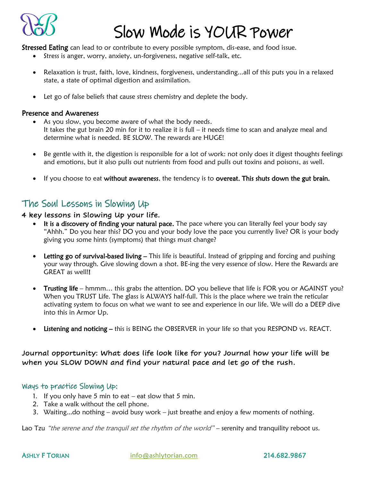

Stressed Eating can lead to or contribute to every possible symptom, dis-ease, and food issue.

- Stress is anger, worry, anxiety, un-forgiveness, negative self-talk, etc.
- Relaxation is trust, faith, love, kindness, forgiveness, understanding...all of this puts you in a relaxed state, a state of optimal digestion and assimilation.
- Let go of false beliefs that cause stress chemistry and deplete the body.

#### Presence and Awareness

- As you slow, you become aware of what the body needs. It takes the gut brain 20 min for it to realize it is full – it needs time to scan and analyze meal and determine what is needed. BE SLOW. The rewards are HUGE!
- Be gentle with it, the digestion is responsible for a lot of work: not only does it digest thoughts feelings and emotions, but it also pulls out nutrients from food and pulls out toxins and poisons, as well.
- If you choose to eat without awareness, the tendency is to overeat. This shuts down the gut brain.

## The Soul Lessons in Slowing Up

#### 4 key lessons in Slowing Up your life.

- It is a discovery of finding your natural pace. The pace where you can literally feel your body say "Ahhh." Do you hear this? DO you and your body love the pace you currently live? OR is your body giving you some hints (symptoms) that things must change?
- Letting go of survival-based living This life is beautiful. Instead of gripping and forcing and pushing your way through. Give slowing down a shot. BE-ing the very essence of slow. Here the Rewards are GREAT as well!!
- Trusting life hmmm... this grabs the attention. DO you believe that life is FOR you or AGAINST you? When you TRUST Life. The glass is ALWAYS half-full. This is the place where we train the reticular activating system to focus on what we want to see and experience in our life. We will do a DEEP dive into this in Armor Up.
- Listening and noticing this is BEING the OBSERVER in your life so that you RESPOND vs. REACT.

### Journal opportunity: What does life look like for you? Journal how your life will be when you SLOW DOWN and find your natural pace and let go of the rush.

### Ways to practice Slowing Up:

- 1. If you only have 5 min to eat  $-$  eat slow that 5 min.
- 2. Take a walk without the cell phone.
- 3. Waiting...do nothing avoid busy work just breathe and enjoy a few moments of nothing.

Lao Tzu "the serene and the tranquil set the rhythm of the world" – serenity and tranquility reboot us.